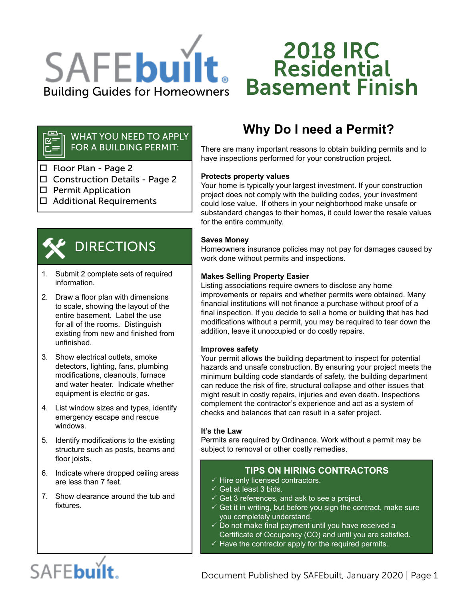

# 2018 IRC **Residential** Basement Finish

#### WHAT YOU NEED TO APPLY 도<br>이 주 FOR A BUILDING PERMIT:

- □ Floor Plan Page 2
- □ Construction Details Page 2
- $\square$  Permit Application
- □ Additional Requirements



# DIRECTIONS

- 1. Submit 2 complete sets of required information.
- 2. Draw a floor plan with dimensions to scale, showing the layout of the entire basement. Label the use for all of the rooms. Distinguish existing from new and finished from unfinished.
- 3. Show electrical outlets, smoke detectors, lighting, fans, plumbing modifications, cleanouts, furnace and water heater. Indicate whether equipment is electric or gas.
- 4. List window sizes and types, identify emergency escape and rescue windows.
- 5. Identify modifications to the existing structure such as posts, beams and floor joists.
- 6. Indicate where dropped ceiling areas are less than 7 feet.
- 7. Show clearance around the tub and fixtures.

# **Why Do I need a Permit?**

There are many important reasons to obtain building permits and to have inspections performed for your construction project.

# **Protects property values**

Your home is typically your largest investment. If your construction project does not comply with the building codes, your investment could lose value. If others in your neighborhood make unsafe or substandard changes to their homes, it could lower the resale values for the entire community.

# **Saves Money**

Homeowners insurance policies may not pay for damages caused by work done without permits and inspections.

# **Makes Selling Property Easier**

Listing associations require owners to disclose any home improvements or repairs and whether permits were obtained. Many financial institutions will not finance a purchase without proof of a final inspection. If you decide to sell a home or building that has had modifications without a permit, you may be required to tear down the addition, leave it unoccupied or do costly repairs.

# **Improves safety**

Your permit allows the building department to inspect for potential hazards and unsafe construction. By ensuring your project meets the minimum building code standards of safety, the building department can reduce the risk of fire, structural collapse and other issues that might result in costly repairs, injuries and even death. Inspections complement the contractor's experience and act as a system of checks and balances that can result in a safer project.

# **It's the Law**

Permits are required by Ordinance. Work without a permit may be subject to removal or other costly remedies.

# **TIPS ON HIRING CONTRACTORS**

- $\checkmark$  Hire only licensed contractors.
- $\checkmark$  Get at least 3 bids.
- $\checkmark$  Get 3 references, and ask to see a project.
- $\checkmark$  Get it in writing, but before you sign the contract, make sure you completely understand.
- $\checkmark$  Do not make final payment until you have received a Certificate of Occupancy (CO) and until you are satisfied.
- $\checkmark$  Have the contractor apply for the required permits.

# SAFEbuilt.